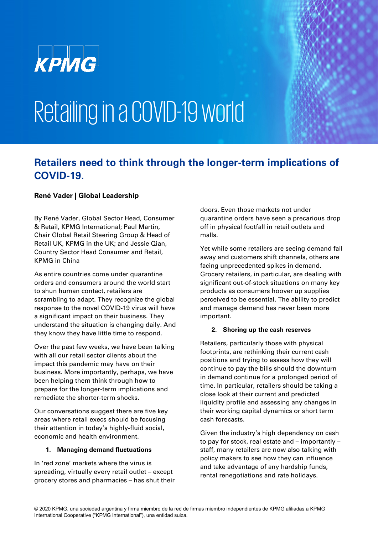

# Retailing in a COVID-19 world

### **Retailers need to think through the longer-term implications of COVID-19.**

#### **René Vader | Global Leadership**

By René Vader, Global Sector Head, Consumer & Retail, KPMG International; Paul Martin, Chair Global Retail Steering Group & Head of Retail UK, KPMG in the UK; and Jessie Qian, Country Sector Head Consumer and Retail, KPMG in China

As entire countries come under quarantine orders and consumers around the world start to shun human contact, retailers are scrambling to adapt. They recognize the global response to the novel COVID-19 virus will have a significant impact on their business. They understand the situation is changing daily. And they know they have little time to respond.

Over the past few weeks, we have been talking with all our retail sector clients about the impact this pandemic may have on their business. More importantly, perhaps, we have been helping them think through how to prepare for the longer-term implications and remediate the shorter-term shocks.

Our conversations suggest there are five key areas where retail execs should be focusing their attention in today's highly-fluid social, economic and health environment.

#### **1. Managing demand fluctuations**

In 'red zone' markets where the virus is spreading, virtually every retail outlet – except grocery stores and pharmacies – has shut their

doors. Even those markets not under quarantine orders have seen a precarious drop off in physical footfall in retail outlets and malls.

Yet while some retailers are seeing demand fall away and customers shift channels, others are facing unprecedented spikes in demand. Grocery retailers, in particular, are dealing with significant out-of-stock situations on many key products as consumers hoover up supplies perceived to be essential. The ability to predict and manage demand has never been more important.

#### **2. Shoring up the cash reserves**

Retailers, particularly those with physical footprints, are rethinking their current cash positions and trying to assess how they will continue to pay the bills should the downturn in demand continue for a prolonged period of time. In particular, retailers should be taking a close look at their current and predicted liquidity profile and assessing any changes in their working capital dynamics or short term cash forecasts.

Given the industry's high dependency on cash to pay for stock, real estate and – importantly – staff, many retailers are now also talking with policy makers to see how they can influence and take advantage of any hardship funds, rental renegotiations and rate holidays.